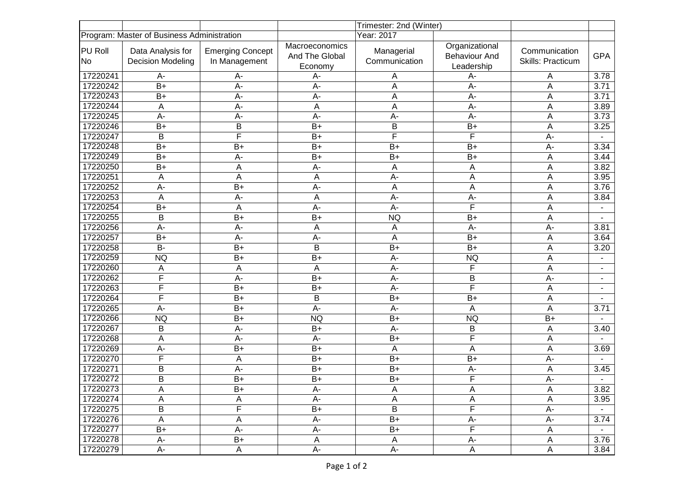|                                            |                                               | Trimester: 2nd (Winter)                  |                                             |                             |                                                      |                                    |                          |
|--------------------------------------------|-----------------------------------------------|------------------------------------------|---------------------------------------------|-----------------------------|------------------------------------------------------|------------------------------------|--------------------------|
| Program: Master of Business Administration |                                               |                                          | Year: 2017                                  |                             |                                                      |                                    |                          |
| <b>PU Roll</b><br>No                       | Data Analysis for<br><b>Decision Modeling</b> | <b>Emerging Concept</b><br>In Management | Macroeconomics<br>And The Global<br>Economy | Managerial<br>Communication | Organizational<br><b>Behaviour And</b><br>Leadership | Communication<br>Skills: Practicum | <b>GPA</b>               |
| 17220241                                   | $A -$                                         | А-                                       | A-                                          | Α                           | A-                                                   | A                                  | 3.78                     |
| 17220242                                   | $B+$                                          | $A -$                                    | A-                                          | A                           | $A -$                                                | A                                  | 3.71                     |
| 17220243                                   | $B+$                                          | A-                                       | A-                                          | A                           | $A -$                                                | A                                  | 3.71                     |
| 17220244                                   | A                                             | A-                                       | A                                           | A                           | $A -$                                                | A                                  | 3.89                     |
| 17220245                                   | $A -$                                         | A-                                       | A-                                          | A-                          | $A -$                                                | A                                  | 3.73                     |
| 17220246                                   | $B+$                                          | B                                        | $B+$                                        | B                           | $B+$                                                 | A                                  | 3.25                     |
| 17220247                                   | $\overline{B}$                                | F                                        | $B+$                                        | F                           | F                                                    | $A -$                              |                          |
| 17220248                                   | $B+$                                          | $B+$                                     | $B+$                                        | $B+$                        | $B+$                                                 | $A -$                              | 3.34                     |
| 17220249                                   | $B+$                                          | $A -$                                    | B+                                          | $B+$                        | $B+$                                                 | A                                  | 3.44                     |
| 17220250                                   | $B+$                                          | A                                        | A-                                          | A                           | A                                                    | A                                  | 3.82                     |
| 17220251                                   | A                                             | A                                        | Α                                           | $A -$                       | A                                                    | A                                  | 3.95                     |
| 17220252                                   | $A -$                                         | $\overline{B+}$                          | A-                                          | Α                           | A                                                    | A                                  | 3.76                     |
| 17220253                                   | A                                             | $A -$                                    | A                                           | $A -$                       | $A -$                                                | A                                  | 3.84                     |
| 17220254                                   | $B+$                                          | A                                        | A-                                          | $A -$                       | $\overline{\mathsf{F}}$                              | A                                  |                          |
| 17220255                                   | B                                             | $B+$                                     | $B+$                                        | <b>NQ</b>                   | $B+$                                                 | A                                  |                          |
| 17220256                                   | $A -$                                         | $A -$                                    | A                                           | Α                           | $A -$                                                | $A -$                              | 3.81                     |
| 17220257                                   | $B+$                                          | A-                                       | A-                                          | Α                           | $B+$                                                 | A                                  | 3.64                     |
| 17220258                                   | $B -$                                         | $\overline{B+}$                          | B                                           | $\overline{B+}$             | $\overline{B+}$                                      | A                                  | 3.20                     |
| 17220259                                   | <b>NQ</b>                                     | $\overline{B+}$                          | $\overline{B+}$                             | $A -$                       | <b>NQ</b>                                            | A                                  |                          |
| 17220260                                   | Α                                             | A                                        | A                                           | A-                          | F                                                    | A                                  |                          |
| 17220262                                   | $\overline{\mathsf{F}}$                       | $A -$                                    | $B+$                                        | A-                          | B                                                    | $A -$                              | $\overline{\phantom{a}}$ |
| 17220263                                   | F                                             | $B+$                                     | $B+$                                        | $A -$                       | F                                                    | A                                  | ۰                        |
| 17220264                                   | F                                             | $B+$                                     | B                                           | $B+$                        | $B+$                                                 | A                                  |                          |
| 17220265                                   | $A -$                                         | $B+$                                     | A-                                          | A-                          | Α                                                    | A                                  | 3.71                     |
| 17220266                                   | <b>NQ</b>                                     | $B+$                                     | <b>NQ</b>                                   | $\overline{B+}$             | <b>NQ</b>                                            | $B+$                               |                          |
| 17220267                                   | В                                             | $A -$                                    | $B+$                                        | $A -$                       | B                                                    | A                                  | 3.40                     |
| 17220268                                   | A                                             | $A -$                                    | A-                                          | $B+$                        | F                                                    | A                                  |                          |
| 17220269                                   | A-                                            | $B+$                                     | $B+$                                        | A                           | A                                                    | A                                  | 3.69                     |
| 17220270                                   | F                                             | A                                        | $B+$                                        | $B+$                        | $B+$                                                 | $A -$                              |                          |
| 17220271                                   | B                                             | A-                                       | $B+$                                        | $B+$                        | A-                                                   | A                                  | 3.45                     |
| 17220272                                   | $\overline{B}$                                | $\overline{B+}$                          | $B+$                                        | $\overline{B+}$             | F                                                    | $\overline{A}$ -                   |                          |
| 17220273                                   | A                                             | $\overline{B+}$                          | $A -$                                       | A                           | $\mathsf A$                                          | $\mathsf A$                        | 3.82                     |
| 17220274                                   | Α                                             | А                                        | A-                                          | А                           | Α                                                    | Α                                  | 3.95                     |
| 17220275                                   | $\overline{B}$                                | F                                        | $B+$                                        | $\overline{B}$              | F                                                    | A-                                 |                          |
| 17220276                                   | A                                             | A                                        | А-                                          | $B+$                        | A-                                                   | A-                                 | 3.74                     |
| 17220277                                   | $B+$                                          | А-                                       | А-                                          | B+                          | F                                                    | A                                  |                          |
| 17220278                                   | A-                                            | B+                                       | A                                           | A                           | A-                                                   | A                                  | 3.76                     |
| 17220279                                   | А-                                            | A                                        | А-                                          | A-                          | A                                                    | A                                  | 3.84                     |